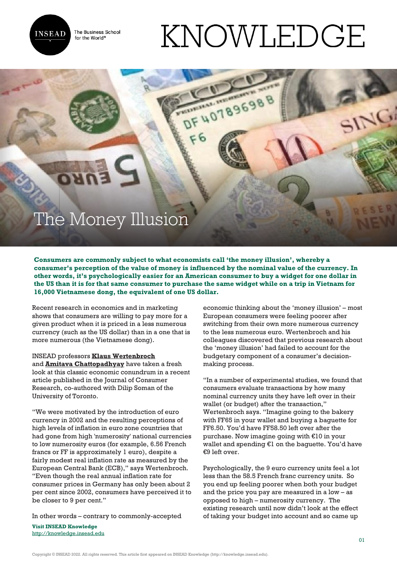

The Business School for the World<sup>®</sup>

## KNOWLEDGE

DF 40789698

## The Money Illusion

**Consumers are commonly subject to what economists call 'the money illusion', whereby a consumer's perception of the value of money is influenced by the nominal value of the currency. In other words, it's psychologically easier for an American consumer to buy a widget for one dollar in the US than it is for that same consumer to purchase the same widget while on a trip in Vietnam for 16,000 Vietnamese dong, the equivalent of one US dollar.**

Recent research in economics and in marketing shows that consumers are willing to pay more for a given product when it is priced in a less numerous currency (such as the US dollar) than in a one that is more numerous (the Vietnamese dong).

## INSEAD professors **[Klaus Wertenbroch](http://www.insead.edu/facultyresearch/faculty/profiles/kwertenbroch/)**

and **[Amitava Chattopadhyay](http://www.insead.edu/facultyresearch/faculty/profiles/achattopadhyay/)** have taken a fresh look at this classic economic conundrum in a recent article published in the Journal of Consumer Research, co-authored with Dilip Soman of the University of Toronto.

"We were motivated by the introduction of euro currency in 2002 and the resulting perceptions of high levels of inflation in euro zone countries that had gone from high 'numerosity' national currencies to low numerosity euros (for example, 6.56 French francs or FF is approximately 1 euro), despite a fairly modest real inflation rate as measured by the European Central Bank (ECB)," says Wertenbroch. "Even though the real annual inflation rate for consumer prices in Germany has only been about 2 per cent since 2002, consumers have perceived it to be closer to 9 per cent."

In other words – contrary to commonly-accepted

**Visit INSEAD Knowledge** <http://knowledge.insead.edu>

economic thinking about the 'money illusion' – most European consumers were feeling poorer after switching from their own more numerous currency to the less numerous euro. Wertenbroch and his colleagues discovered that previous research about the 'money illusion' had failed to account for the budgetary component of a consumer's decisionmaking process.

"In a number of experimental studies, we found that consumers evaluate transactions by how many nominal currency units they have left over in their wallet (or budget) after the transaction," Wertenbroch says. "Imagine going to the bakery with FF65 in your wallet and buying a baguette for FF6.50. You'd have FF58.50 left over after the purchase. Now imagine going with €10 in your wallet and spending €1 on the baguette. You'd have €9 left over.

Psychologically, the 9 euro currency units feel a lot less than the 58.5 French franc currency units. So you end up feeling poorer when both your budget and the price you pay are measured in a low – as opposed to high – numerosity currency. The existing research until now didn't look at the effect of taking your budget into account and so came up

Copyright © INSEAD 2022. All rights reserved. This article first appeared on INSEAD Knowledge (http://knowledge.insead.edu).